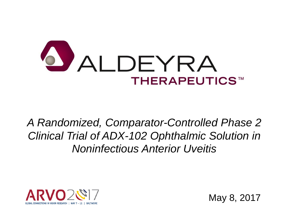

*A Randomized, Comparator-Controlled Phase 2 Clinical Trial of ADX-102 Ophthalmic Solution in Noninfectious Anterior Uveitis*



May 8, 2017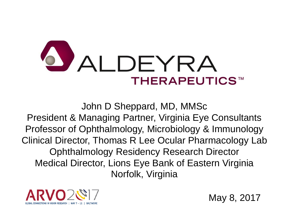

John D Sheppard, MD, MMSc President & Managing Partner, Virginia Eye Consultants Professor of Ophthalmology, Microbiology & Immunology Clinical Director, Thomas R Lee Ocular Pharmacology Lab Ophthalmology Residency Research Director Medical Director, Lions Eye Bank of Eastern Virginia Norfolk, Virginia



May 8, 2017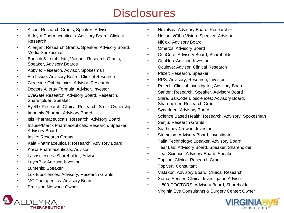## **Disclosures**

- Alcon: Research Grants, Speaker, Advisor
- Aldeyra Pharmaceuticals: Advisory Board, Clinical Research
- Allergan: Research Grants, Speaker, Advisory Board, Media Spokesman
- Bausch & Lomb, Ista, Valeant: Research Grants, Speaker, Advisory Boards
- Abbvie: Research, Advisor, Spokesman
- BioTissue: Advisory Board, Clinical Research
- Clearside Ophthalmics: Advisor, Research
- Doctors Allergy Formula: Advisor, Investor
- EyeGate Research: Advisory Board, Research, Shareholder, Speaker
- EyeRx Research: Clinical Research, Stock Ownership
- Imprimis Pharma: Advisory Board
- Isis Pharmaceuticals: Research, Advisory Board
- Inspire/Merck Pharmaceuticals: Research, Speaker, Advisory Board
- Insite: Research Grants
- Kala Pharmaceuticals: Research, Advisory Board
- Kowa Pharmaceuticals: Advisor
- Lacrisciences: Shareholder, Advisor
- LayerBio: Advisor, Investor
- Lumenis: Speaker
- Lux Biosciences: Advisory, Research Grants
- MG Therapeutics: Advisory Board
- Provision Network: Owner
- NovaBay: Advisory Board, Researcher
- Novartis/Ciba Vision: Speaker, Advisor
- NiCox: Advisory Board
- Omeros: Advisory Board
- OcuCure: Advisory Board, Shareholder
- OcuHub: Advisor, Investor
- Oculeve: Advisor, Clinical Research
- Pfizer: Research, Speaker
- RPS: Advisory, Research, Investor
- Rutech: Clinical Investigator, Advisory Board
- Santen: Research, Speaker, Advisory Board
- Shire, SarCode Biosciences: Advisory Board, Shareholder, Research Grant
- Synedgen: Advisory Board
- Science Based Health: Research, Advisory, Spokesman
- Seniu: Research Grants
- Srathspey Crowne: Investor
- Stemnion: Advisory Board, Investigator
- Talia Technology: Speaker, Advisory Board
- Tear Lab: Advisory Board, Speaker, Shareholder
- Tear Science: Advisory Board, Speaker
- Topcon: Clinical Research Grant
- Topivert: Consultant
- Vistakon: Advisory Board, Clinical Research
- Xoma, Servier: Clinical Investigator, Advisor
- 1-800-DOCTORS: Advisory Board, Shareholder
- Virginia Eye Consultants & Surgery Center: Owner



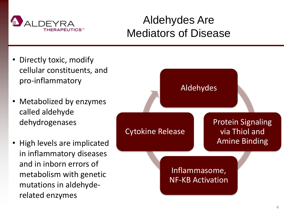

#### Aldehydes Are Mediators of Disease

- Directly toxic, modify cellular constituents, and pro-inflammatory
- Metabolized by enzymes called aldehyde dehydrogenases
- High levels are implicated in inflammatory diseases and in inborn errors of metabolism with genetic mutations in aldehyderelated enzymes

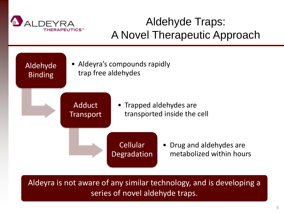

# Aldehyde Traps: A Novel Therapeutic Approach



Aldeyra is not aware of any similar technology, and is developing a series of novel aldehyde traps.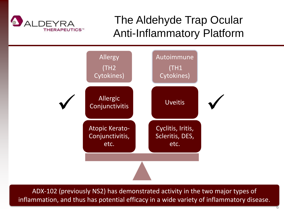

## The Aldehyde Trap Ocular Anti-Inflammatory Platform



ADX-102 (previously NS2) has demonstrated activity in the two major types of inflammation, and thus has potential efficacy in a wide variety of inflammatory disease.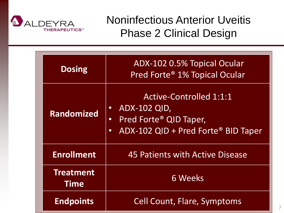

Noninfectious Anterior Uveitis Phase 2 Clinical Design

7

| <b>Dosing</b>                   | ADX-102 0.5% Topical Ocular<br>Pred Forte® 1% Topical Ocular                                                                                                              |  |  |
|---------------------------------|---------------------------------------------------------------------------------------------------------------------------------------------------------------------------|--|--|
| <b>Randomized</b>               | <b>Active-Controlled 1:1:1</b><br><b>ADX-102 QID,</b><br>$\bullet$<br>Pred Forte <sup>®</sup> QID Taper,<br>$\bullet$<br>ADX-102 QID + Pred Forte® BID Taper<br>$\bullet$ |  |  |
| <b>Enrollment</b>               | 45 Patients with Active Disease                                                                                                                                           |  |  |
| <b>Treatment</b><br><b>Time</b> | <b>6 Weeks</b>                                                                                                                                                            |  |  |
| <b>Endpoints</b>                | <b>Cell Count, Flare, Symptoms</b>                                                                                                                                        |  |  |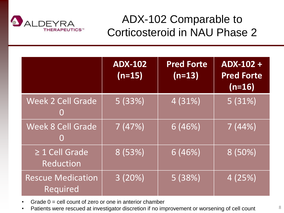

#### ADX-102 Comparable to Corticosteroid in NAU Phase 2

|                                         | <b>ADX-102</b><br>$(n=15)$ | <b>Pred Forte</b><br>$(n=13)$ | ADX-102+<br><b>Pred Forte</b><br>$(n=16)$ |
|-----------------------------------------|----------------------------|-------------------------------|-------------------------------------------|
| Week 2 Cell Grade<br>O                  | 5(33%)                     | 4 (31%)                       | 5(31%)                                    |
| <b>Week 8 Cell Grade</b><br>O           | 7(47%)                     | 6(46%)                        | 7(44%)                                    |
| $\geq 1$ Cell Grade<br><b>Reduction</b> | 8 (53%)                    | 6(46%)                        | $8(50\%)$                                 |
| <b>Rescue Medication</b><br>Required    | $\overline{3}$ (20%)       | 5(38%)                        | $\overline{4(25%)}$                       |

- Grade  $0 =$  cell count of zero or one in anterior chamber
- Patients were rescued at investigator discretion if no improvement or worsening of cell count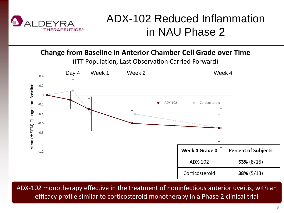

#### ADX-102 Reduced Inflammation in NAU Phase 2

**Change from Baseline in Anterior Chamber Cell Grade over Time**

(ITT Population, Last Observation Carried Forward)



ADX-102 monotherapy effective in the treatment of noninfectious anterior uveitis, with an efficacy profile similar to corticosteroid monotherapy in a Phase 2 clinical trial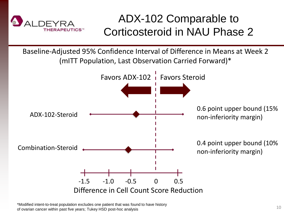

#### ADX-102 Comparable to Corticosteroid in NAU Phase 2

Baseline-Adjusted 95% Confidence Interval of Difference in Means at Week 2 (mITT Population, Last Observation Carried Forward)\*



\*Modified intent-to-treat population excludes one patient that was found to have history of ovarian cancer within past five years; Tukey HSD post-hoc analysis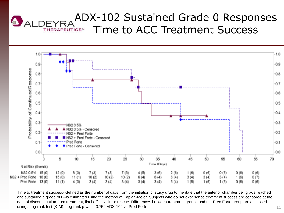#### ADX-102 Sustained Grade 0 Responses **ALDEYRA** Time to ACC Treatment Success **THERAPEUTICS™**



Time to treatment success--defined as the number of days from the initiation of study drug to the date that the anterior chamber cell grade reached and sustained a grade of 0--is estimated using the method of Kaplan-Meier. Subjects who do not experience treatment success are censored at the date of discontinuation from treatment, final office visit, or rescue. Differences between treatment groups and the Pred Forte group are assessed using a log-rank test (K-M). Log-rank p value 0.759 ADX-102 vs Pred Forte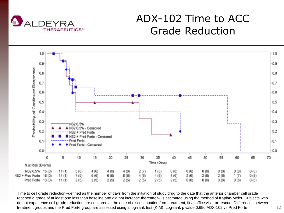

#### ADX-102 Time to ACC Grade Reduction



Time to cell grade reduction--defined as the number of days from the initiation of study drug to the date that the anterior chamber cell grade reached a grade of at least one less than baseline and did not increase thereafter-- is estimated using the method of Kaplan-Meier. Subjects who do not experience cell grade reduction are censored at the date of discontinuation from treatment, final office visit, or rescue. Differences between treatment groups and the Pred Forte group are assessed using a log-rank test (K-M). Log-rank p value 0.650 ADX-102 vs Pred Forte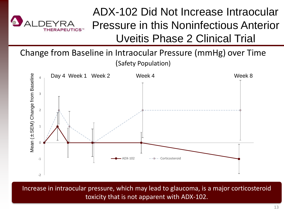

## ADX-102 Did Not Increase Intraocular Pressure in this Noninfectious Anterior Uveitis Phase 2 Clinical Trial

Change from Baseline in Intraocular Pressure (mmHg) over Time (Safety Population)



Increase in intraocular pressure, which may lead to glaucoma, is a major corticosteroid toxicity that is not apparent with ADX-102.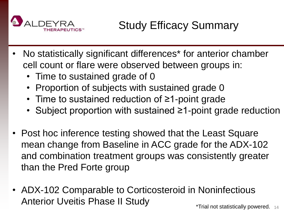

- No statistically significant differences\* for anterior chamber cell count or flare were observed between groups in:
	- Time to sustained grade of 0
	- Proportion of subjects with sustained grade 0
	- Time to sustained reduction of ≥1-point grade
	- Subject proportion with sustained ≥1-point grade reduction
- Post hoc inference testing showed that the Least Square mean change from Baseline in ACC grade for the ADX-102 and combination treatment groups was consistently greater than the Pred Forte group
- ADX-102 Comparable to Corticosteroid in Noninfectious Anterior Uveitis Phase II Study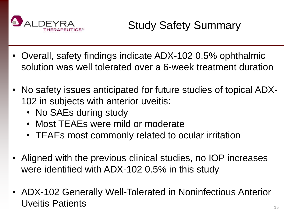

- Overall, safety findings indicate ADX-102 0.5% ophthalmic solution was well tolerated over a 6-week treatment duration
- No safety issues anticipated for future studies of topical ADX-102 in subjects with anterior uveitis:
	- No SAEs during study
	- Most TEAEs were mild or moderate
	- TEAEs most commonly related to ocular irritation
- Aligned with the previous clinical studies, no IOP increases were identified with ADX-102 0.5% in this study
- ADX-102 Generally Well-Tolerated in Noninfectious Anterior Uveitis Patients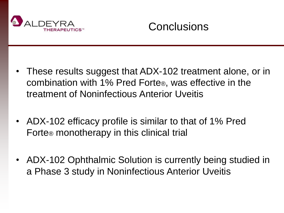

**Conclusions** 

- These results suggest that ADX-102 treatment alone, or in combination with 1% Pred Forte®, was effective in the treatment of Noninfectious Anterior Uveitis
- ADX-102 efficacy profile is similar to that of 1% Pred Forte® monotherapy in this clinical trial
- ADX-102 Ophthalmic Solution is currently being studied in a Phase 3 study in Noninfectious Anterior Uveitis